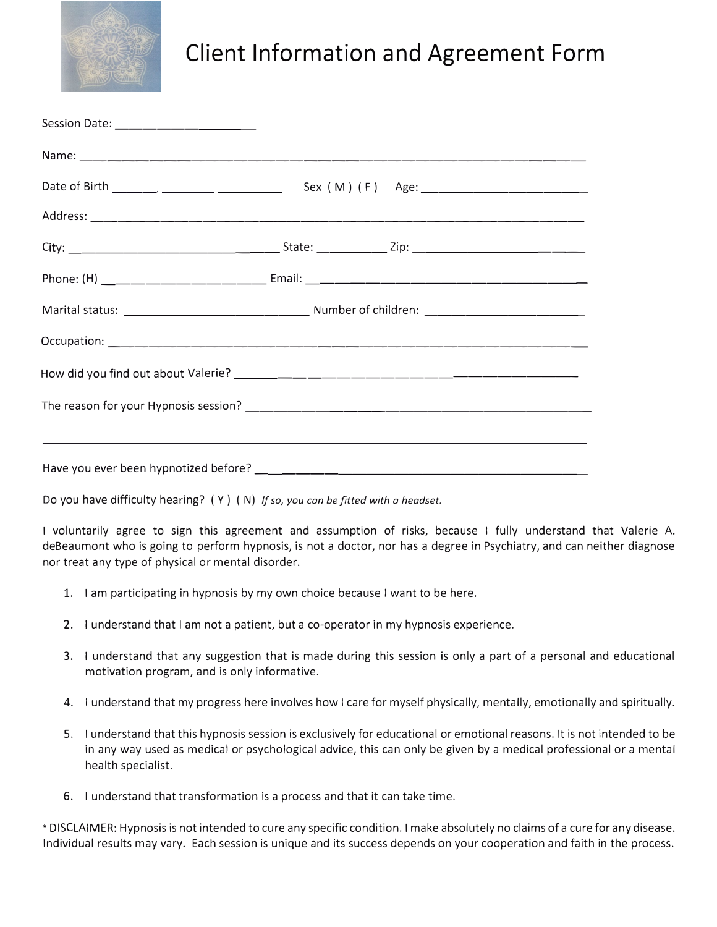

## **Client Information and Agreement Form**

Do you have difficulty hearing? ( Y) ( N) *If so, you can be fitted with a headset.*

I voluntarily agree to sign this agreement and assumption of risks, because I fully understand that Valerie A. deBeaumont who is going to perform hypnosis, is not a doctor, nor has a degree in Psychiatry, and can neither diagnose nor treat any type of physical or mental disorder.

- 1. I am participating in hypnosis by my own choice because I want to be here.
- 2. I understand that I am not a patient, but a co-operator in my hypnosis experience.
- 3. I understand that any suggestion that is made during this session is only a part of a personal and educational motivation program, and is only informative.
- 4. I understand that my progress here involves how I care for myself physically, mentally, emotionally and spiritually.
- 5. I understand that this hypnosis session is exclusively for educational or emotional reasons. It is not intended to be in any way used as medical or psychological advice, this can only be given by a medical professional or a mental health specialist.
- 6. I understand that transformation is a process and that it can take time.

• DISCLAIMER: Hypnosis is not intended to cure any specific condition. I make absolutely no claims of a cure for any disease. Individual results may vary. Each session is unique and its success depends on your cooperation and faith in the process.